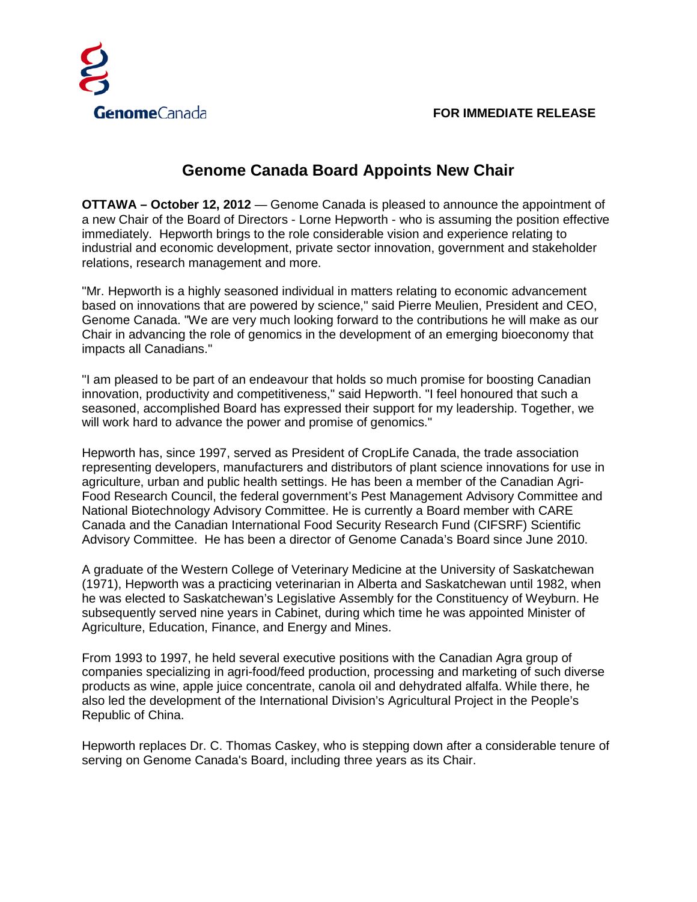

## **Genome Canada Board Appoints New Chair**

**OTTAWA – October 12, 2012** — Genome Canada is pleased to announce the appointment of a new Chair of the Board of Directors - Lorne Hepworth - who is assuming the position effective immediately. Hepworth brings to the role considerable vision and experience relating to industrial and economic development, private sector innovation, government and stakeholder relations, research management and more.

"Mr. Hepworth is a highly seasoned individual in matters relating to economic advancement based on innovations that are powered by science," said Pierre Meulien, President and CEO, Genome Canada. "We are very much looking forward to the contributions he will make as our Chair in advancing the role of genomics in the development of an emerging bioeconomy that impacts all Canadians."

"I am pleased to be part of an endeavour that holds so much promise for boosting Canadian innovation, productivity and competitiveness," said Hepworth. "I feel honoured that such a seasoned, accomplished Board has expressed their support for my leadership. Together, we will work hard to advance the power and promise of genomics."

Hepworth has, since 1997, served as President of CropLife Canada, the trade association representing developers, manufacturers and distributors of plant science innovations for use in agriculture, urban and public health settings. He has been a member of the Canadian Agri-Food Research Council, the federal government's Pest Management Advisory Committee and National Biotechnology Advisory Committee. He is currently a Board member with CARE Canada and the Canadian International Food Security Research Fund (CIFSRF) Scientific Advisory Committee. He has been a director of Genome Canada's Board since June 2010.

A graduate of the Western College of Veterinary Medicine at the University of Saskatchewan (1971), Hepworth was a practicing veterinarian in Alberta and Saskatchewan until 1982, when he was elected to Saskatchewan's Legislative Assembly for the Constituency of Weyburn. He subsequently served nine years in Cabinet, during which time he was appointed Minister of Agriculture, Education, Finance, and Energy and Mines.

From 1993 to 1997, he held several executive positions with the Canadian Agra group of companies specializing in agri-food/feed production, processing and marketing of such diverse products as wine, apple juice concentrate, canola oil and dehydrated alfalfa. While there, he also led the development of the International Division's Agricultural Project in the People's Republic of China.

Hepworth replaces Dr. C. Thomas Caskey, who is stepping down after a considerable tenure of serving on Genome Canada's Board, including three years as its Chair.